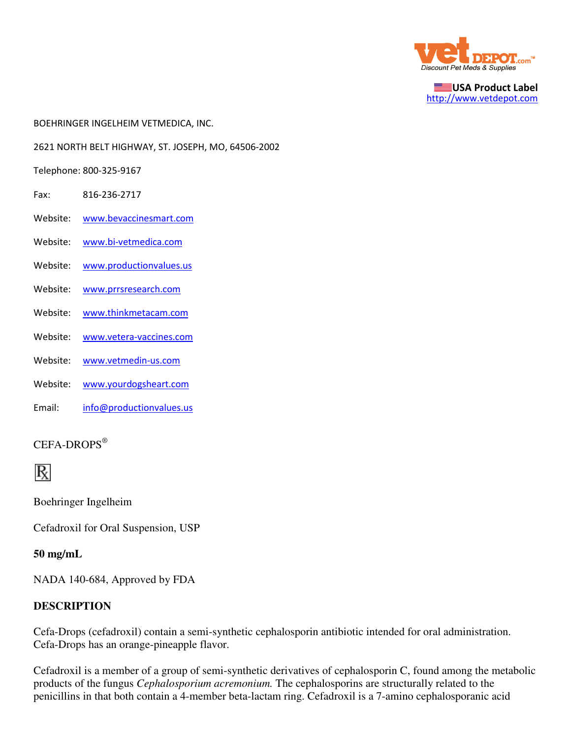

USA Product Label http://www.vetdepot.com

BOEHRINGER INGELHEIM VETMEDICA, INC.

2621 NORTH BELT HIGHWAY, ST. JOSEPH, MO, 64506-2002

Telephone: 800-325-9167

- Fax: 816-236-2717
- Website: www.bevaccinesmart.com
- Website: www.bi-vetmedica.com
- Website: www.productionvalues.us
- Website: www.prrsresearch.com
- Website: www.thinkmetacam.com
- Website: www.vetera-vaccines.com
- Website: www.vetmedin-us.com
- Website: www.yourdogsheart.com
- Email: info@productionvalues.us

#### CEFA-DROPS®



Boehringer Ingelheim

Cefadroxil for Oral Suspension, USP

#### **50 mg/mL**

NADA 140-684, Approved by FDA

#### **DESCRIPTION**

Cefa-Drops (cefadroxil) contain a semi-synthetic cephalosporin antibiotic intended for oral administration. Cefa-Drops has an orange-pineapple flavor.

Cefadroxil is a member of a group of semi-synthetic derivatives of cephalosporin C, found among the metabolic products of the fungus *Cephalosporium acremonium.* The cephalosporins are structurally related to the penicillins in that both contain a 4-member beta-lactam ring. Cefadroxil is a 7-amino cephalosporanic acid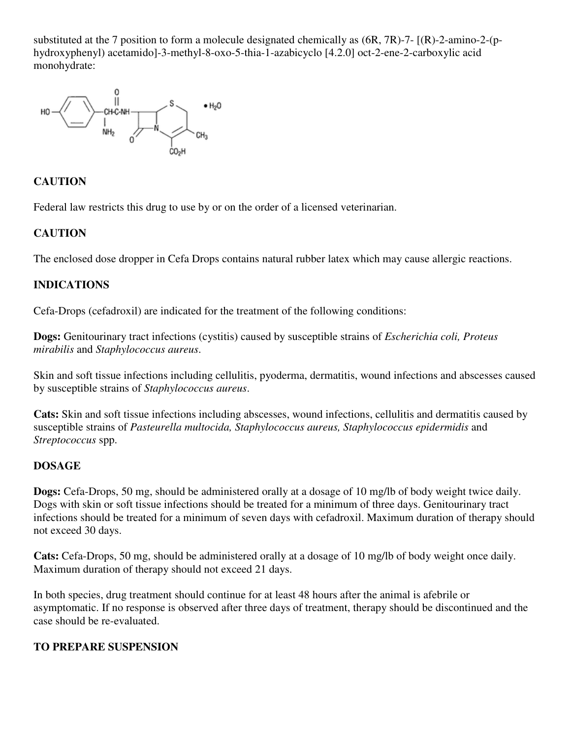substituted at the 7 position to form a molecule designated chemically as (6R, 7R)-7- [(R)-2-amino-2-(phydroxyphenyl) acetamido]-3-methyl-8-oxo-5-thia-1-azabicyclo [4.2.0] oct-2-ene-2-carboxylic acid monohydrate:



## **CAUTION**

Federal law restricts this drug to use by or on the order of a licensed veterinarian.

## **CAUTION**

The enclosed dose dropper in Cefa Drops contains natural rubber latex which may cause allergic reactions.

## **INDICATIONS**

Cefa-Drops (cefadroxil) are indicated for the treatment of the following conditions:

**Dogs:** Genitourinary tract infections (cystitis) caused by susceptible strains of *Escherichia coli, Proteus mirabilis* and *Staphylococcus aureus*.

Skin and soft tissue infections including cellulitis, pyoderma, dermatitis, wound infections and abscesses caused by susceptible strains of *Staphylococcus aureus*.

**Cats:** Skin and soft tissue infections including abscesses, wound infections, cellulitis and dermatitis caused by susceptible strains of *Pasteurella multocida, Staphylococcus aureus, Staphylococcus epidermidis* and *Streptococcus* spp.

#### **DOSAGE**

**Dogs:** Cefa-Drops, 50 mg, should be administered orally at a dosage of 10 mg/lb of body weight twice daily. Dogs with skin or soft tissue infections should be treated for a minimum of three days. Genitourinary tract infections should be treated for a minimum of seven days with cefadroxil. Maximum duration of therapy should not exceed 30 days.

**Cats:** Cefa-Drops, 50 mg, should be administered orally at a dosage of 10 mg/lb of body weight once daily. Maximum duration of therapy should not exceed 21 days.

In both species, drug treatment should continue for at least 48 hours after the animal is afebrile or asymptomatic. If no response is observed after three days of treatment, therapy should be discontinued and the case should be re-evaluated.

#### **TO PREPARE SUSPENSION**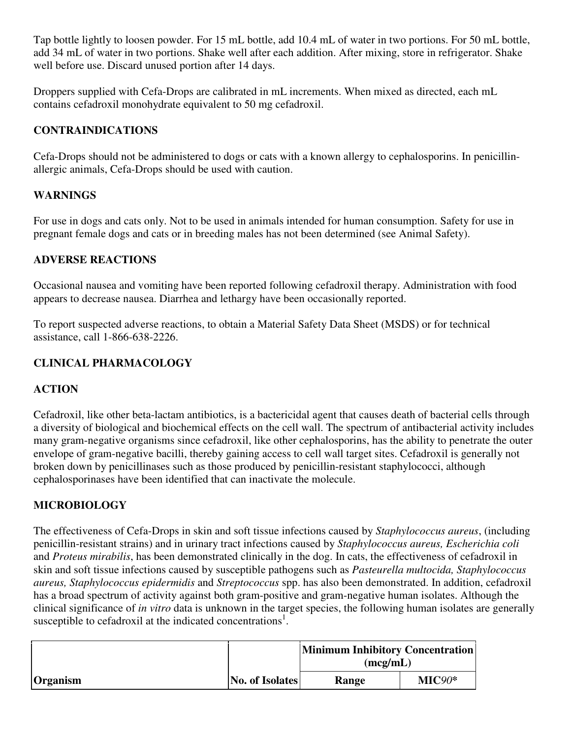Tap bottle lightly to loosen powder. For 15 mL bottle, add 10.4 mL of water in two portions. For 50 mL bottle, add 34 mL of water in two portions. Shake well after each addition. After mixing, store in refrigerator. Shake well before use. Discard unused portion after 14 days.

Droppers supplied with Cefa-Drops are calibrated in mL increments. When mixed as directed, each mL contains cefadroxil monohydrate equivalent to 50 mg cefadroxil.

## **CONTRAINDICATIONS**

Cefa-Drops should not be administered to dogs or cats with a known allergy to cephalosporins. In penicillinallergic animals, Cefa-Drops should be used with caution.

# **WARNINGS**

For use in dogs and cats only. Not to be used in animals intended for human consumption. Safety for use in pregnant female dogs and cats or in breeding males has not been determined (see Animal Safety).

## **ADVERSE REACTIONS**

Occasional nausea and vomiting have been reported following cefadroxil therapy. Administration with food appears to decrease nausea. Diarrhea and lethargy have been occasionally reported.

To report suspected adverse reactions, to obtain a Material Safety Data Sheet (MSDS) or for technical assistance, call 1-866-638-2226.

# **CLINICAL PHARMACOLOGY**

## **ACTION**

Cefadroxil, like other beta-lactam antibiotics, is a bactericidal agent that causes death of bacterial cells through a diversity of biological and biochemical effects on the cell wall. The spectrum of antibacterial activity includes many gram-negative organisms since cefadroxil, like other cephalosporins, has the ability to penetrate the outer envelope of gram-negative bacilli, thereby gaining access to cell wall target sites. Cefadroxil is generally not broken down by penicillinases such as those produced by penicillin-resistant staphylococci, although cephalosporinases have been identified that can inactivate the molecule.

# **MICROBIOLOGY**

The effectiveness of Cefa-Drops in skin and soft tissue infections caused by *Staphylococcus aureus*, (including penicillin-resistant strains) and in urinary tract infections caused by *Staphylococcus aureus, Escherichia coli* and *Proteus mirabilis*, has been demonstrated clinically in the dog. In cats, the effectiveness of cefadroxil in skin and soft tissue infections caused by susceptible pathogens such as *Pasteurella multocida, Staphylococcus aureus, Staphylococcus epidermidis* and *Streptococcus* spp. has also been demonstrated. In addition, cefadroxil has a broad spectrum of activity against both gram-positive and gram-negative human isolates. Although the clinical significance of *in vitro* data is unknown in the target species, the following human isolates are generally susceptible to cefadroxil at the indicated concentrations<sup>1</sup>.

|                 |                 | Minimum Inhibitory Concentration<br>(mcg/mL) |          |
|-----------------|-----------------|----------------------------------------------|----------|
| <b>Organism</b> | No. of Isolates | Range                                        | $MIC90*$ |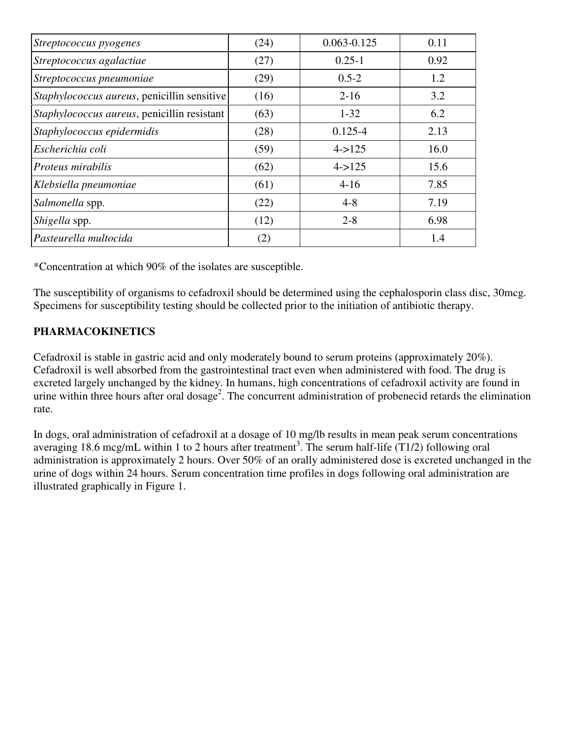| Streptococcus pyogenes                      | (24) | $0.063 - 0.125$ | 0.11 |
|---------------------------------------------|------|-----------------|------|
| Streptococcus agalactiae                    | (27) | $0.25 - 1$      | 0.92 |
| Streptococcus pneumoniae                    | (29) | $0.5 - 2$       | 1.2  |
| Staphylococcus aureus, penicillin sensitive | (16) | $2 - 16$        | 3.2  |
| Staphylococcus aureus, penicillin resistant | (63) | $1 - 32$        | 6.2  |
| Staphylococcus epidermidis                  | (28) | $0.125 - 4$     | 2.13 |
| Escherichia coli                            | (59) | $4 - > 125$     | 16.0 |
| Proteus mirabilis                           | (62) | $4 - > 125$     | 15.6 |
| Klebsiella pneumoniae                       | (61) | $4 - 16$        | 7.85 |
| Salmonella spp.                             | (22) | $4 - 8$         | 7.19 |
| Shigella spp.                               | (12) | $2 - 8$         | 6.98 |
| Pasteurella multocida                       | (2)  |                 | 1.4  |

\*Concentration at which 90% of the isolates are susceptible.

The susceptibility of organisms to cefadroxil should be determined using the cephalosporin class disc, 30mcg. Specimens for susceptibility testing should be collected prior to the initiation of antibiotic therapy.

## **PHARMACOKINETICS**

Cefadroxil is stable in gastric acid and only moderately bound to serum proteins (approximately 20%). Cefadroxil is well absorbed from the gastrointestinal tract even when administered with food. The drug is excreted largely unchanged by the kidney. In humans, high concentrations of cefadroxil activity are found in urine within three hours after oral dosage<sup>2</sup>. The concurrent administration of probenecid retards the elimination rate.

In dogs, oral administration of cefadroxil at a dosage of 10 mg/lb results in mean peak serum concentrations averaging 18.6 mcg/mL within 1 to 2 hours after treatment<sup>3</sup>. The serum half-life  $(T1/2)$  following oral administration is approximately 2 hours. Over 50% of an orally administered dose is excreted unchanged in the urine of dogs within 24 hours. Serum concentration time profiles in dogs following oral administration are illustrated graphically in Figure 1.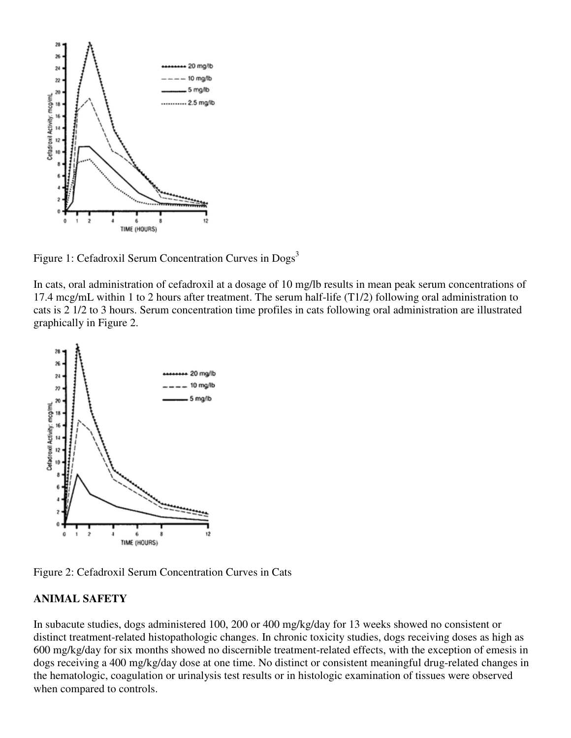

Figure 1: Cefadroxil Serum Concentration Curves in Dogs<sup>3</sup>

In cats, oral administration of cefadroxil at a dosage of 10 mg/lb results in mean peak serum concentrations of 17.4 mcg/mL within 1 to 2 hours after treatment. The serum half-life (T1/2) following oral administration to cats is 2 1/2 to 3 hours. Serum concentration time profiles in cats following oral administration are illustrated graphically in Figure 2.



Figure 2: Cefadroxil Serum Concentration Curves in Cats

## **ANIMAL SAFETY**

In subacute studies, dogs administered 100, 200 or 400 mg/kg/day for 13 weeks showed no consistent or distinct treatment-related histopathologic changes. In chronic toxicity studies, dogs receiving doses as high as 600 mg/kg/day for six months showed no discernible treatment-related effects, with the exception of emesis in dogs receiving a 400 mg/kg/day dose at one time. No distinct or consistent meaningful drug-related changes in the hematologic, coagulation or urinalysis test results or in histologic examination of tissues were observed when compared to controls.